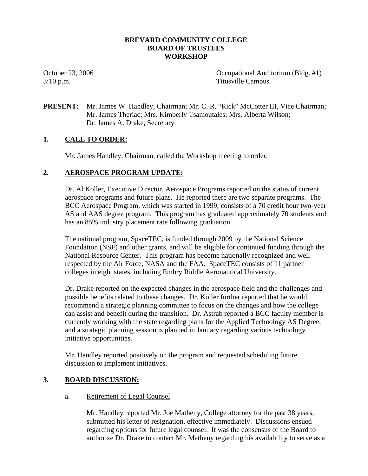## **BREVARD COMMUNITY COLLEGE BOARD OF TRUSTEES WORKSHOP**

October 23, 2006 Occupational Auditorium (Bldg. #1) 3:10 p.m. Titusville Campus

**PRESENT:** Mr. James W. Handley, Chairman; Mr. C. R. "Rick" McCotter III, Vice Chairman; Mr. James Theriac; Mrs. Kimberly Tsamoutales; Mrs. Alberta Wilson; Dr. James A. Drake, Secretary

# **1. CALL TO ORDER:**

Mr. James Handley, Chairman, called the Workshop meeting to order.

### **2. AEROSPACE PROGRAM UPDATE:**

Dr. Al Koller, Executive Director, Aerospace Programs reported on the status of current aerospace programs and future plans. He reported there are two separate programs. The BCC Aerospace Program, which was started in 1999, consists of a 70 credit hour two-year AS and AAS degree program. This program has graduated approximately 70 students and has an 85% industry placement rate following graduation.

The national program, SpaceTEC, is funded through 2009 by the National Science Foundation (NSF) and other grants, and will be eligible for continued funding through the National Resource Center. This program has become nationally recognized and well respected by the Air Force, NASA and the FAA. SpaceTEC consists of 11 partner colleges in eight states, including Embry Riddle Aeronautical University.

Dr. Drake reported on the expected changes in the aerospace field and the challenges and possible benefits related to these changes. Dr. Koller further reported that he would recommend a strategic planning committee to focus on the changes and how the college can assist and benefit during the transition. Dr. Astrab reported a BCC faculty member is currently working with the state regarding plans for the Applied Technology AS Degree, and a strategic planning session is planned in January regarding various technology initiative opportunities.

Mr. Handley reported positively on the program and requested scheduling future discussion to implement initiatives.

### **3. BOARD DISCUSSION:**

### a. Retirement of Legal Counsel

Mr. Handley reported Mr. Joe Matheny, College attorney for the past 38 years, submitted his letter of resignation, effective immediately. Discussions ensued regarding options for future legal counsel. It was the consensus of the Board to authorize Dr. Drake to contact Mr. Matheny regarding his availability to serve as a